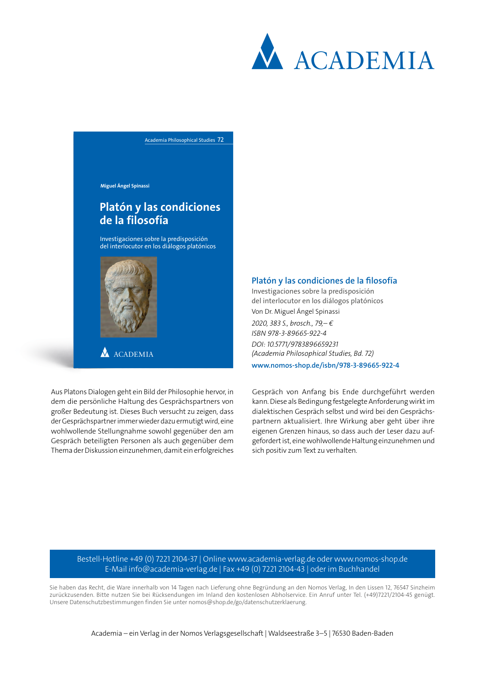

Academia Philosophical Studies 72

**Miguel Ángel Spinassi**

## **Platón y las condiciones de la filosofía**

Investigaciones sobre la predisposición del interlocutor en los diálogos platónicos



**A** ACADEMIA

Aus Platons Dialogen geht ein Bild der Philosophie hervor, in dem die persönliche Haltung des Gesprächspartners von großer Bedeutung ist. Dieses Buch versucht zu zeigen, dass der Gesprächspartner immer wieder dazu ermutigt wird, eine wohlwollende Stellungnahme sowohl gegenüber den am Gespräch beteiligten Personen als auch gegenüber dem Thema der Diskussion einzunehmen, damit ein erfolgreiches

## **Platón y las condiciones de la filosofía**

Investigaciones sobre la predisposición del interlocutor en los diálogos platónicos Von Dr. Miguel Ángel Spinassi

*2020, 383 S., brosch., 79,– € ISBN 978-3-89665-922-4 DOI: 10.5771/9783896659231 (Academia Philosophical Studies, Bd. 72)*

**www.nomos-shop.de/isbn/978-3-89665-922-4**

Gespräch von Anfang bis Ende durchgeführt werden kann. Diese als Bedingung festgelegte Anforderung wirkt im dialektischen Gespräch selbst und wird bei den Gesprächspartnern aktualisiert. Ihre Wirkung aber geht über ihre eigenen Grenzen hinaus, so dass auch der Leser dazu aufgefordert ist, eine wohlwollende Haltung einzunehmen und sich positiv zum Text zu verhalten.

Bestell-Hotline +49 (0) 7221 2104-37 | Online www.academia-verlag.de oder www.nomos-shop.de E-Mail info@academia-verlag.de | Fax +49 (0) 7221 2104-43 | oder im Buchhandel

Sie haben das Recht, die Ware innerhalb von 14 Tagen nach Lieferung ohne Begründung an den Nomos Verlag, In den Lissen 12, 76547 Sinzheim zurückzusenden. Bitte nutzen Sie bei Rücksendungen im Inland den kostenlosen Abholservice. Ein Anruf unter Tel. (+49)7221/2104-45 genügt. Unsere Datenschutzbestimmungen finden Sie unter nomos@shop.de/go/datenschutzerklaerung.

Academia – ein Verlag in der Nomos Verlagsgesellschaft | Waldseestraße 3–5 | 76530 Baden-Baden